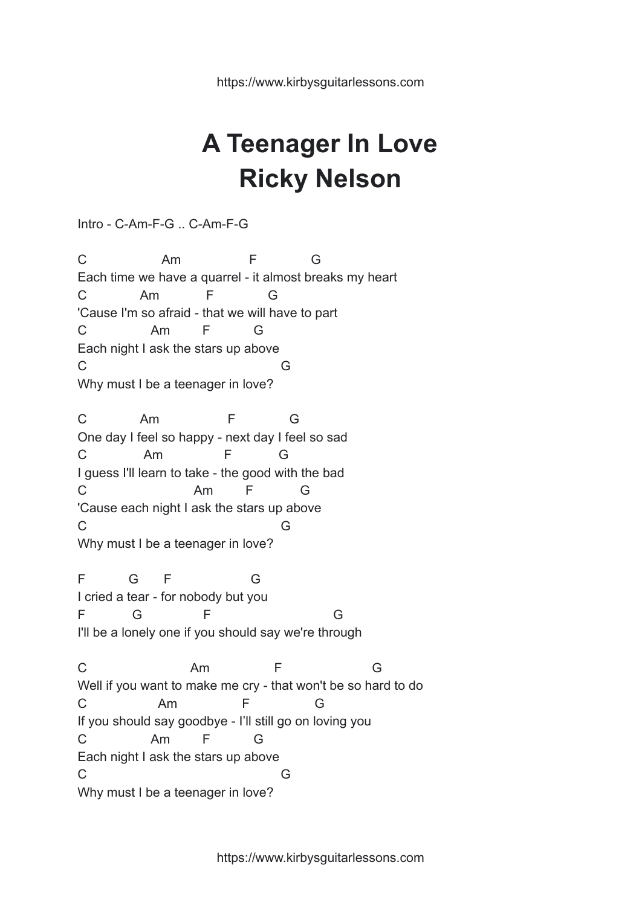https://www.kirbysguitarlessons.com

## **A Teenager In Love Ricky Nelson**

Intro - C-Am-F-G .. C-Am-F-G

C Am F G Each time we have a quarrel - it almost breaks my heart C Am F G 'Cause I'm so afraid - that we will have to part C Am F G Each night I ask the stars up above C G Why must I be a teenager in love? C Am F G One day I feel so happy - next day I feel so sad C Am F G I guess I'll learn to take - the good with the bad C Am F G 'Cause each night I ask the stars up above C G Why must I be a teenager in love?

F G F G I cried a tear - for nobody but you F G F G I'll be a lonely one if you should say we're through

C Am F G Well if you want to make me cry - that won't be so hard to do C Am F G If you should say goodbye - I'll still go on loving you C Am F G Each night I ask the stars up above C G Why must I be a teenager in love?